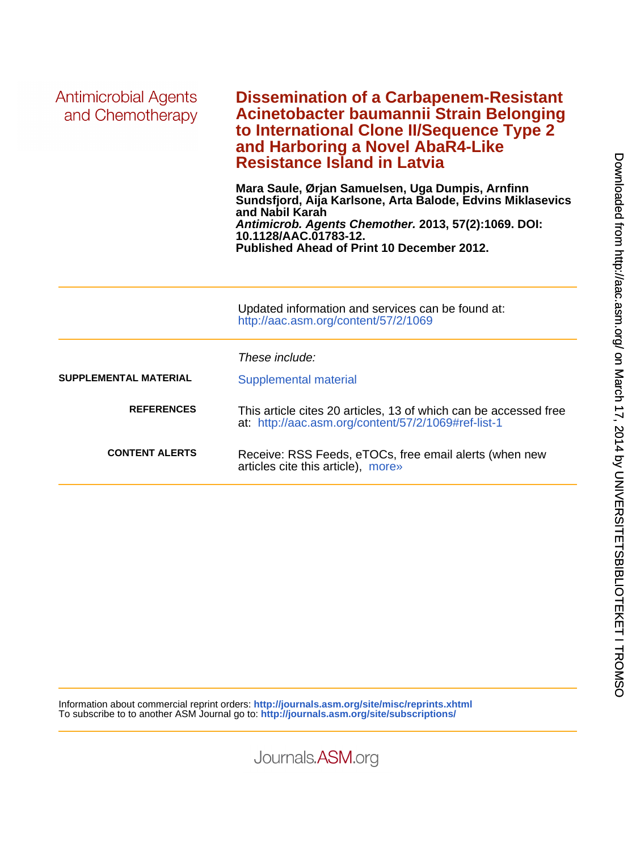| Antimicrobial Agents<br>and Chemotherapy | <b>Dissemination of a Carbapenem-Resistant</b><br>Acinetobacter baumannii Strain Belonging<br>to International Clone II/Sequence Type 2<br>and Harboring a Novel AbaR4-Like<br><b>Resistance Island in Latvia</b>                                                |  |  |  |  |
|------------------------------------------|------------------------------------------------------------------------------------------------------------------------------------------------------------------------------------------------------------------------------------------------------------------|--|--|--|--|
|                                          | Mara Saule, Ørjan Samuelsen, Uga Dumpis, Arnfinn<br>Sundsfjord, Aija Karlsone, Arta Balode, Edvins Miklasevics<br>and Nabil Karah<br>Antimicrob. Agents Chemother. 2013, 57(2):1069. DOI:<br>10.1128/AAC.01783-12.<br>Published Ahead of Print 10 December 2012. |  |  |  |  |
|                                          | Updated information and services can be found at:<br>http://aac.asm.org/content/57/2/1069                                                                                                                                                                        |  |  |  |  |
|                                          | These include:                                                                                                                                                                                                                                                   |  |  |  |  |
| <b>SUPPLEMENTAL MATERIAL</b>             | Supplemental material                                                                                                                                                                                                                                            |  |  |  |  |
| <b>REFERENCES</b>                        | This article cites 20 articles, 13 of which can be accessed free<br>at: http://aac.asm.org/content/57/2/1069#ref-list-1                                                                                                                                          |  |  |  |  |
| <b>CONTENT ALERTS</b>                    | Receive: RSS Feeds, eTOCs, free email alerts (when new<br>articles cite this article), more»                                                                                                                                                                     |  |  |  |  |

Information about commercial reprint orders: **<http://journals.asm.org/site/misc/reprints.xhtml>** To subscribe to to another ASM Journal go to: **<http://journals.asm.org/site/subscriptions/>**

Journals.ASM.org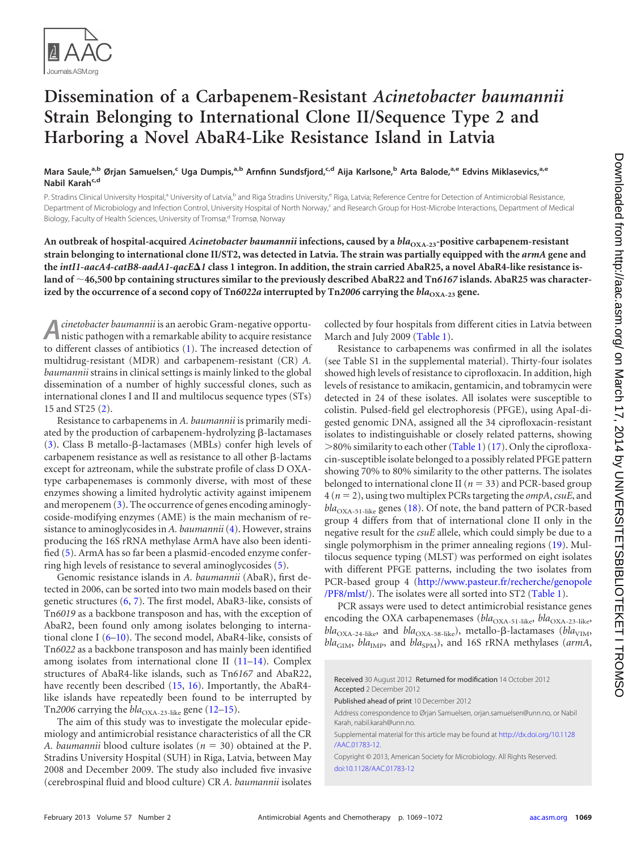

## **Dissemination of a Carbapenem-Resistant** *Acinetobacter baumannii* **Strain Belonging to International Clone II/Sequence Type 2 and Harboring a Novel AbaR4-Like Resistance Island in Latvia**

Mara Saule,<sup>a,b</sup> Ørjan Samuelsen,<sup>c</sup> Uga Dumpis,<sup>a,b</sup> Arnfinn Sundsfjord,<sup>c,d</sup> Aija Karlsone,<sup>b</sup> Arta Balode,<sup>a,e</sup> Edvins Miklasevics,<sup>a,e</sup> **Nabil Karah<sup>c,d</sup>** 

P. Stradins Clinical University Hospital,<sup>a</sup> University of Latvia,<sup>b</sup> and Riga Stradins University,<sup>e</sup> Riga, Latvia; Reference Centre for Detection of Antimicrobial Resistance, Department of Microbiology and Infection Control, University Hospital of North Norway,<sup>c</sup> and Research Group for Host-Microbe Interactions, Department of Medical Biology, Faculty of Health Sciences, University of Tromsø,<sup>d</sup> Tromsø, Norway

An outbreak of hospital-acquired *Acinetobacter baumannii* infections, caused by a *bla*<sub>OXA-23</sub>-positive carbapenem-resistant **strain belonging to international clone II/ST2, was detected in Latvia. The strain was partially equipped with the** *armA* **gene and the** *intI1***-***aacA4***-***catB8***-***aadA1***-***qacE1* **class 1 integron. In addition, the strain carried AbaR25, a novel AbaR4-like resistance island of 46,500 bp containing structures similar to the previously described AbaR22 and Tn***6167* **islands. AbaR25 was character**ized by the occurrence of a second copy of Tn6022a interrupted by Tn2006 carrying the  $bla_{\text{OXA-23}}$  gene.

**A***cinetobacter baumannii* is an aerobic Gram-negative opportu-nistic pathogen with a remarkable ability to acquire resistance to different classes of antibiotics [\(1\)](#page-3-0). The increased detection of multidrug-resistant (MDR) and carbapenem-resistant (CR) *A. baumannii* strains in clinical settings is mainly linked to the global dissemination of a number of highly successful clones, such as international clones I and II and multilocus sequence types (STs) 15 and ST25 [\(2\)](#page-3-1).

Resistance to carbapenems in *A. baumannii* is primarily mediated by the production of carbapenem-hydrolyzing  $\beta$ -lactamases  $(3)$ . Class B metallo- $\beta$ -lactamases (MBLs) confer high levels of  $carbapenem$  resistance as well as resistance to all other  $\beta$ -lactams except for aztreonam, while the substrate profile of class D OXAtype carbapenemases is commonly diverse, with most of these enzymes showing a limited hydrolytic activity against imipenem and meropenem [\(3\)](#page-3-2). The occurrence of genes encoding aminoglycoside-modifying enzymes (AME) is the main mechanism of resistance to aminoglycosides in *A. baumannii*[\(4\)](#page-4-0). However, strains producing the 16S rRNA methylase ArmA have also been identified [\(5\)](#page-4-1). ArmA has so far been a plasmid-encoded enzyme conferring high levels of resistance to several aminoglycosides [\(5\)](#page-4-1).

Genomic resistance islands in *A. baumannii* (AbaR), first detected in 2006, can be sorted into two main models based on their genetic structures [\(6,](#page-4-2) [7\)](#page-4-3). The first model, AbaR3-like, consists of Tn*6019* as a backbone transposon and has, with the exception of AbaR2, been found only among isolates belonging to international clone I [\(6–](#page-4-2)[10\)](#page-4-4). The second model, AbaR4-like, consists of Tn*6022* as a backbone transposon and has mainly been identified among isolates from international clone II [\(11–](#page-4-5)[14\)](#page-4-6). Complex structures of AbaR4-like islands, such as Tn*6167* and AbaR22, have recently been described [\(15,](#page-4-7) [16\)](#page-4-8). Importantly, the AbaR4like islands have repeatedly been found to be interrupted by Tn2006 carrying the  $bla_{\text{OXA-23-like}}$  gene [\(12–](#page-4-9)[15\)](#page-4-7).

The aim of this study was to investigate the molecular epidemiology and antimicrobial resistance characteristics of all the CR *A. baumannii* blood culture isolates ( $n = 30$ ) obtained at the P. Stradins University Hospital (SUH) in Riga, Latvia, between May 2008 and December 2009. The study also included five invasive (cerebrospinal fluid and blood culture) CR *A. baumannii* isolates

collected by four hospitals from different cities in Latvia between March and July 2009 [\(Table 1\)](#page-2-0).

Resistance to carbapenems was confirmed in all the isolates (see Table S1 in the supplemental material). Thirty-four isolates showed high levels of resistance to ciprofloxacin. In addition, high levels of resistance to amikacin, gentamicin, and tobramycin were detected in 24 of these isolates. All isolates were susceptible to colistin. Pulsed-field gel electrophoresis (PFGE), using ApaI-digested genomic DNA, assigned all the 34 ciprofloxacin-resistant isolates to indistinguishable or closely related patterns, showing  $>$ 80% similarity to each other [\(Table 1\)](#page-2-0) [\(17\)](#page-4-10). Only the ciprofloxacin-susceptible isolate belonged to a possibly related PFGE pattern showing 70% to 80% similarity to the other patterns. The isolates belonged to international clone II ( $n = 33$ ) and PCR-based group  $4 (n = 2)$ , using two multiplex PCRs targeting the *ompA*, *csuE*, and bla<sub>OXA-51-like</sub> genes [\(18\)](#page-4-11). Of note, the band pattern of PCR-based group 4 differs from that of international clone II only in the negative result for the *csuE* allele, which could simply be due to a single polymorphism in the primer annealing regions [\(19\)](#page-4-12). Multilocus sequence typing (MLST) was performed on eight isolates with different PFGE patterns, including the two isolates from PCR-based group 4 [\(http://www.pasteur.fr/recherche/genopole](http://www.pasteur.fr/recherche/genopole/PF8/mlst/) [/PF8/mlst/\)](http://www.pasteur.fr/recherche/genopole/PF8/mlst/). The isolates were all sorted into ST2 [\(Table 1\)](#page-2-0).

PCR assays were used to detect antimicrobial resistance genes encoding the OXA carbapenemases ( $bla_{\text{OXA-51-like}}$ ,  $bla_{\text{OXA-23-like}}$ ,  $bla_{\rm OXA\text{-}24\text{-like}}$ , and  $bla_{\rm OXA\text{-}58\text{-like}}$ ), metallo- $\beta$ -lactamases ( $bla_{\rm VIM}$ ,  $bla_{\text{GIM}}$ ,  $bla_{\text{IMP}}$ , and  $bla_{\text{SPM}}$ ), and 16S rRNA methylases (*armA*,

Supplemental material for this article may be found at [http://dx.doi.org/10.1128](http://dx.doi.org/10.1128/AAC.01783-12) [/AAC.01783-12.](http://dx.doi.org/10.1128/AAC.01783-12)

Copyright © 2013, American Society for Microbiology. All Rights Reserved. [doi:10.1128/AAC.01783-12](http://dx.doi.org/10.1128/AAC.01783-12)

Received 30 August 2012 Returned for modification 14 October 2012 Accepted 2 December 2012

Published ahead of print 10 December 2012

Address correspondence to Ørjan Samuelsen, orjan.samuelsen@unn.no, or Nabil Karah, nabil.karah@unn.no.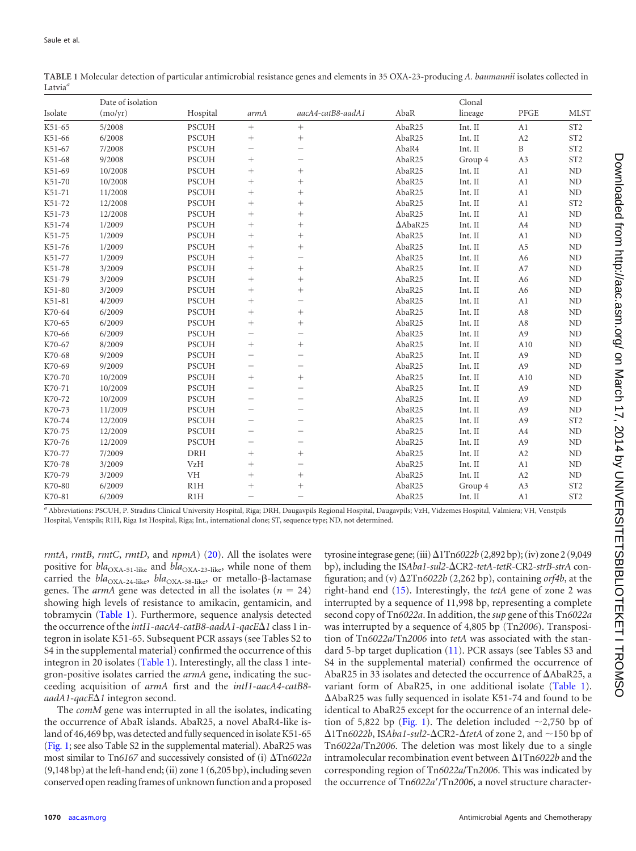|         | Date of isolation |              |                          |                          |                 |         | Clonal         |                 |  |
|---------|-------------------|--------------|--------------------------|--------------------------|-----------------|---------|----------------|-----------------|--|
| Isolate | (mo/yr)           | Hospital     | armA                     | aacA4-catB8-aadA1        | AbaR            | lineage | PFGE           | <b>MLST</b>     |  |
| K51-65  | 5/2008            | <b>PSCUH</b> | $^{+}$                   | $^{+}$                   | AbaR25          | Int. II | A1             | ST <sub>2</sub> |  |
| K51-66  | 6/2008            | <b>PSCUH</b> |                          |                          | AbaR25          | Int. II | A2             | ST <sub>2</sub> |  |
| K51-67  | 7/2008            | <b>PSCUH</b> | $\overline{\phantom{0}}$ |                          | AbaR4           | Int. II | B              | ST <sub>2</sub> |  |
| K51-68  | 9/2008            | <b>PSCUH</b> | $^{+}$                   | -                        | AbaR25          | Group 4 | A3             | ST <sub>2</sub> |  |
| K51-69  | 10/2008           | <b>PSCUH</b> | $^{+}$                   | $^{+}$                   | AbaR25          | Int. II | A1             | ND              |  |
| K51-70  | 10/2008           | <b>PSCUH</b> | $^{+}$                   | $^{+}$                   | AbaR25          | Int. II | A1             | ND              |  |
| K51-71  | 11/2008           | <b>PSCUH</b> | $^{+}$                   | $^{+}$                   | AbaR25          | Int. II | A1             | ND              |  |
| K51-72  | 12/2008           | <b>PSCUH</b> | $^{+}$                   | $^{+}$                   | AbaR25          | Int. II | A1             | ST <sub>2</sub> |  |
| K51-73  | 12/2008           | <b>PSCUH</b> | $^{+}$                   | $^{+}$                   | AbaR25          | Int. II | A1             | ND              |  |
| K51-74  | 1/2009            | <b>PSCUH</b> | $^{+}$                   | $^{+}$                   | $\Delta$ AbaR25 | Int. II | A4             | ND              |  |
| K51-75  | 1/2009            | <b>PSCUH</b> | $\! + \!\!\!\!$          | $^{+}$                   | AbaR25          | Int. II | A1             | ND              |  |
| K51-76  | 1/2009            | <b>PSCUH</b> | $^{+}$                   | $^{+}$                   | AbaR25          | Int. II | A <sub>5</sub> | ND              |  |
| K51-77  | 1/2009            | <b>PSCUH</b> | $^{+}$                   | -                        | AbaR25          | Int. II | A6             | ND              |  |
| K51-78  | 3/2009            | <b>PSCUH</b> | $^{+}$                   |                          | AbaR25          | Int. II | A7             | ND              |  |
| K51-79  | 3/2009            | <b>PSCUH</b> | $^{+}$                   | $^{+}$                   | AbaR25          | Int. II | A6             | ND              |  |
| K51-80  | 3/2009            | PSCUH        | $^{+}$                   | $^{+}$                   | AbaR25          | Int. II | A6             | ND              |  |
| K51-81  | 4/2009            | <b>PSCUH</b> | $^{+}$                   | -                        | AbaR25          | Int. II | A1             | ND              |  |
| K70-64  | 6/2009            | <b>PSCUH</b> | $^{+}$                   | $^{+}$                   | AbaR25          | Int. II | A8             | ND              |  |
| K70-65  | 6/2009            | <b>PSCUH</b> | $^{+}$                   | $^{+}$                   | AbaR25          | Int. II | A8             | ND              |  |
| K70-66  | 6/2009            | <b>PSCUH</b> | $\overline{\phantom{0}}$ | -                        | AbaR25          | Int. II | A <sub>9</sub> | ND              |  |
| K70-67  | 8/2009            | <b>PSCUH</b> | $\! + \!\!\!\!$          | $\! + \!\!\!\!$          | AbaR25          | Int. II | A10            | ND              |  |
| K70-68  | 9/2009            | <b>PSCUH</b> | $\overline{\phantom{0}}$ | -                        | AbaR25          | Int. II | A <sub>9</sub> | ND              |  |
| K70-69  | 9/2009            | <b>PSCUH</b> | -                        | -                        | AbaR25          | Int. II | A <sub>9</sub> | ND              |  |
| K70-70  | 10/2009           | <b>PSCUH</b> | $\! + \!\!\!\!$          | $\! + \!\!\!\!$          | AbaR25          | Int. II | A10            | ND              |  |
| K70-71  | 10/2009           | <b>PSCUH</b> | $\overline{\phantom{0}}$ | -                        | AbaR25          | Int. II | A <sub>9</sub> | ND              |  |
| K70-72  | 10/2009           | <b>PSCUH</b> | $\overline{\phantom{0}}$ |                          | AbaR25          | Int. II | A <sub>9</sub> | ND              |  |
| K70-73  | 11/2009           | <b>PSCUH</b> |                          |                          | AbaR25          | Int. II | A <sub>9</sub> | ND              |  |
| K70-74  | 12/2009           | <b>PSCUH</b> | $\overline{\phantom{0}}$ | $\overline{\phantom{0}}$ | AbaR25          | Int. II | A <sub>9</sub> | ST <sub>2</sub> |  |
| K70-75  | 12/2009           | <b>PSCUH</b> |                          |                          | AbaR25          | Int. II | A4             | ND              |  |
| K70-76  | 12/2009           | <b>PSCUH</b> | $\overline{\phantom{0}}$ | -                        | AbaR25          | Int. II | A <sub>9</sub> | ND              |  |
| K70-77  | 7/2009            | <b>DRH</b>   | $^{+}$                   | $^{+}$                   | AbaR25          | Int. II | A <sub>2</sub> | ND              |  |
| K70-78  | 3/2009            | <b>VzH</b>   | $\! + \!\!\!\!$          | $\overline{\phantom{0}}$ | AbaR25          | Int. II | A1             | ND              |  |
| K70-79  | 3/2009            | <b>VH</b>    | $^{+}$                   | $^{+}$                   | AbaR25          | Int. II | A2             | ND              |  |
| K70-80  | 6/2009            | R1H          | $^{+}$                   | $^{+}$                   | AbaR25          | Group 4 | A3             | ST <sub>2</sub> |  |
| K70-81  | 6/2009            | R1H          | $\overline{\phantom{0}}$ |                          | AbaR25          | Int. II | A1             | ST <sub>2</sub> |  |

<span id="page-2-0"></span>**TABLE 1** Molecular detection of particular antimicrobial resistance genes and elements in 35 OXA-23-producing *A. baumannii* isolates collected in Latvia*<sup>a</sup>*

*<sup>a</sup>* Abbreviations: PSCUH, P. Stradins Clinical University Hospital, Riga; DRH, Daugavpils Regional Hospital, Daugavpils; VzH, Vidzemes Hospital, Valmiera; VH, Venstpils Hospital, Ventspils; R1H, Riga 1st Hospital, Riga; Int., international clone; ST, sequence type; ND, not determined.

*rmtA*, *rmtB*, *rmtC*, *rmtD*, and *npmA*) [\(20\)](#page-4-13). All the isolates were positive for  $bla_{\text{OXA-51-like}}$  and  $bla_{\text{OXA-23-like}}$ , while none of them carried the *bla*<sub>OXA-24-like</sub>, *bla*<sub>OXA-58-like</sub>, or metallo-β-lactamase genes. The  $armA$  gene was detected in all the isolates ( $n = 24$ ) showing high levels of resistance to amikacin, gentamicin, and tobramycin [\(Table 1\)](#page-2-0). Furthermore, sequence analysis detected the occurrence of the *intI1*-*aacA4*-*catB8*-*aadA1*-*qacE1* class 1 integron in isolate K51-65. Subsequent PCR assays (see Tables S2 to S4 in the supplemental material) confirmed the occurrence of this integron in 20 isolates [\(Table 1\)](#page-2-0). Interestingly, all the class 1 integron-positive isolates carried the *armA* gene, indicating the succeeding acquisition of *armA* first and the *intI1*-*aacA4*-*catB8 aadA1*-*qacE1* integron second.

The *comM* gene was interrupted in all the isolates, indicating the occurrence of AbaR islands. AbaR25, a novel AbaR4-like island of 46,469 bp, was detected and fully sequenced in isolate K51-65 [\(Fig. 1;](#page-3-3) see also Table S2 in the supplemental material). AbaR25 was most similar to Tn6167 and successively consisted of (i)  $\Delta$ Tn6022a (9,148 bp) at the left-hand end; (ii) zone 1 (6,205 bp), including seven conserved open reading frames of unknown function and a proposed

tyrosine integrase gene; (iii)  $\Delta$ 1Tn6022b (2,892 bp); (iv) zone 2 (9,049 bp), including the IS*Aba1*-*sul2*-CR2-*tetA*-*tetR*-CR2-*strB*-*strA* configuration; and (v) 2Tn*6022b* (2,262 bp), containing *orf4b*, at the right-hand end [\(15\)](#page-4-7). Interestingly, the *tetA* gene of zone 2 was interrupted by a sequence of 11,998 bp, representing a complete second copy of Tn*6022a*. In addition, the *sup* gene of this Tn*6022a* was interrupted by a sequence of 4,805 bp (Tn*2006*). Transposition of Tn*6022a*/Tn*2006* into *tetA* was associated with the standard 5-bp target duplication [\(11\)](#page-4-5). PCR assays (see Tables S3 and S4 in the supplemental material) confirmed the occurrence of AbaR25 in 33 isolates and detected the occurrence of  $\Delta$ AbaR25, a variant form of AbaR25, in one additional isolate [\(Table 1\)](#page-2-0). AbaR25 was fully sequenced in isolate K51-74 and found to be identical to AbaR25 except for the occurrence of an internal dele-tion of 5,822 bp [\(Fig. 1\)](#page-3-3). The deletion included  $\sim$ 2,750 bp of  $\Delta$ 1Tn6022b, ISAba1-*sul2*- $\Delta$ CR2- $\Delta$ tetA of zone 2, and  $\sim$ 150 bp of Tn*6022a*/Tn*2006*. The deletion was most likely due to a single intramolecular recombination event between  $\Delta 1$ Tn6022b and the corresponding region of Tn*6022a*/Tn*2006*. This was indicated by the occurrence of Tn6022a'/Tn2006, a novel structure character-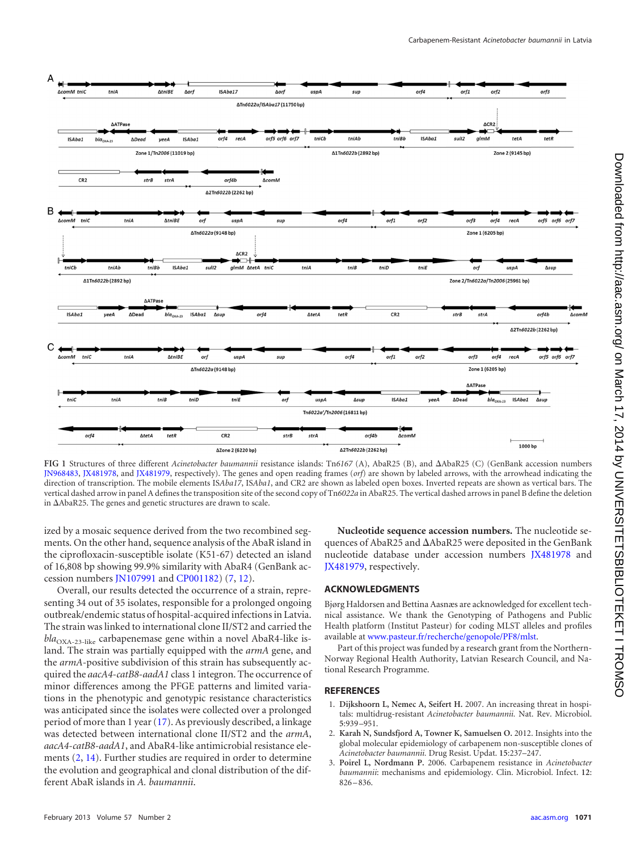

<span id="page-3-3"></span>FIG 1 Structures of three different *Acinetobacter baumannii* resistance islands: Tn6167 (A), AbaR25 (B), and  $\Delta A$ baR25 (C) (GenBank accession numbers [JN968483,](http://www.ncbi.nlm.nih.gov/nuccore?term=JN968483) [JX481978,](http://www.ncbi.nlm.nih.gov/nuccore?term=JX481978) and [JX481979,](http://www.ncbi.nlm.nih.gov/nuccore?term=JX481979) respectively). The genes and open reading frames (*orf*) are shown by labeled arrows, with the arrowhead indicating the direction of transcription. The mobile elements IS*Aba17*, IS*Aba1*, and CR2 are shown as labeled open boxes. Inverted repeats are shown as vertical bars. The vertical dashed arrow in panel A defines the transposition site of the second copy of Tn*6022a* in AbaR25. The vertical dashed arrows in panel B define the deletion in AbaR25. The genes and genetic structures are drawn to scale.

ized by a mosaic sequence derived from the two recombined segments. On the other hand, sequence analysis of the AbaR island in the ciprofloxacin-susceptible isolate (K51-67) detected an island of 16,808 bp showing 99.9% similarity with AbaR4 (GenBank accession numbers [JN107991](http://www.ncbi.nlm.nih.gov/nuccore?term=JN107991) and [CP001182\)](http://www.ncbi.nlm.nih.gov/nuccore?term=CP001182) [\(7,](#page-4-3) [12\)](#page-4-9).

Overall, our results detected the occurrence of a strain, representing 34 out of 35 isolates, responsible for a prolonged ongoing outbreak/endemic status of hospital-acquired infections in Latvia. The strain was linked to international clone II/ST2 and carried the *bla*<sub>OXA-23-like</sub> carbapenemase gene within a novel AbaR4-like island. The strain was partially equipped with the *armA* gene, and the *armA*-positive subdivision of this strain has subsequently acquired the *aacA4*-*catB8*-*aadA1* class 1 integron. The occurrence of minor differences among the PFGE patterns and limited variations in the phenotypic and genotypic resistance characteristics was anticipated since the isolates were collected over a prolonged period of more than 1 year [\(17\)](#page-4-10). As previously described, a linkage was detected between international clone II/ST2 and the *armA*, *aacA4*-*catB8*-*aadA1*, and AbaR4-like antimicrobial resistance elements [\(2,](#page-3-1) [14\)](#page-4-6). Further studies are required in order to determine the evolution and geographical and clonal distribution of the different AbaR islands in *A. baumannii*.

**Nucleotide sequence accession numbers.** The nucleotide sequences of AbaR25 and AbaR25 were deposited in the GenBank nucleotide database under accession numbers [JX481978](http://www.ncbi.nlm.nih.gov/nuccore?term=JX481978) and [JX481979,](http://www.ncbi.nlm.nih.gov/nuccore?term=JX481979) respectively.

## **ACKNOWLEDGMENTS**

Bjørg Haldorsen and Bettina Aasnæs are acknowledged for excellent technical assistance. We thank the Genotyping of Pathogens and Public Health platform (Institut Pasteur) for coding MLST alleles and profiles available at [www.pasteur.fr/recherche/genopole/PF8/mlst.](http://www.pasteur.fr/recherche/genopole/PF8/mlst)

Part of this project was funded by a research grant from the Northern-Norway Regional Health Authority, Latvian Research Council, and National Research Programme.

## <span id="page-3-0"></span>**REFERENCES**

- <span id="page-3-1"></span>1. **Dijkshoorn L, Nemec A, Seifert H.** 2007. An increasing threat in hospitals: multidrug-resistant *Acinetobacter baumannii.* Nat. Rev. Microbiol. **5**:939 –951.
- <span id="page-3-2"></span>2. **Karah N, Sundsfjord A, Towner K, Samuelsen O.** 2012. Insights into the global molecular epidemiology of carbapenem non-susceptible clones of *Acinetobacter baumannii.* Drug Resist. Updat. **15**:237–247.
- 3. **Poirel L, Nordmann P.** 2006. Carbapenem resistance in *Acinetobacter baumannii*: mechanisms and epidemiology. Clin. Microbiol. Infect. **12**:  $826 - 836$ .